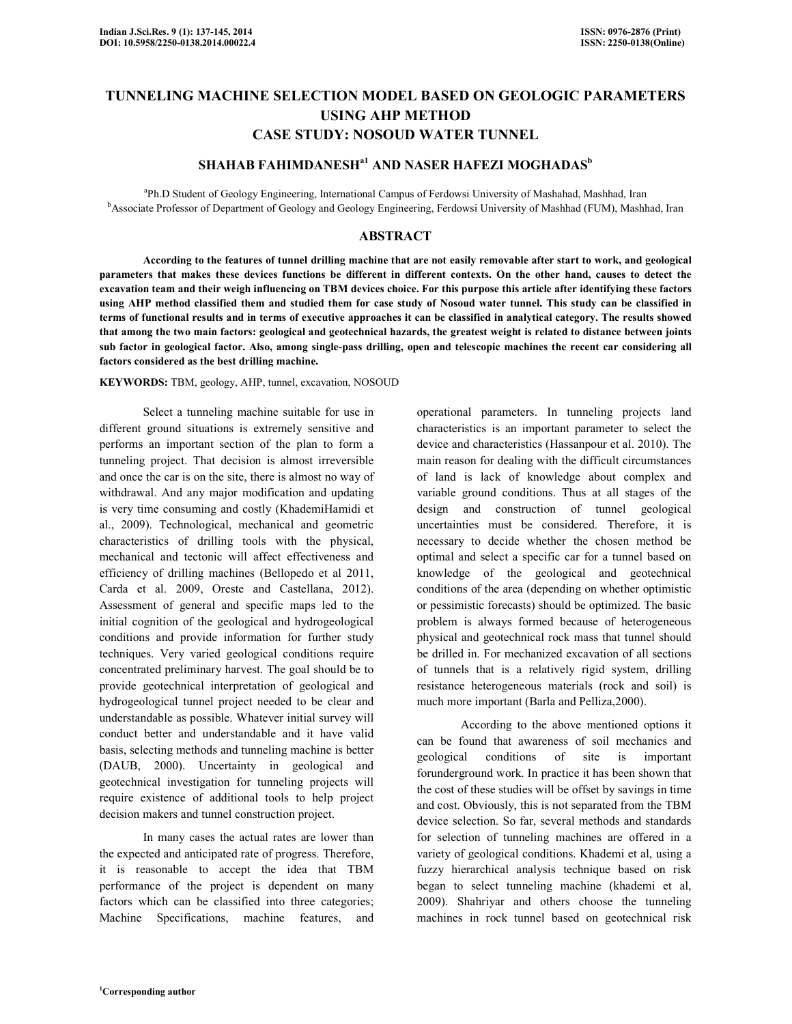# TUNNELING MACHINE SELECTION MODEL BASED ON GEOLOGIC PARAMETERS USING AHP METHOD CASE STUDY: NOSOUD WATER TUNNEL

# SHAHAB FAHIMDANESH<sup>a1</sup> AND NASER HAFEZI MOGHADAS<sup>b</sup>

<sup>a</sup>Ph.D Student of Geology Engineering, International Campus of Ferdowsi University of Mashahad, Mashhad, Iran <sup>b</sup>Associate Professor of Department of Geology and Geology Engineering, Ferdowsi University of Mashhad (FUM), Mashhad, Iran

### ABSTRACT

 According to the features of tunnel drilling machine that are not easily removable after start to work, and geological parameters that makes these devices functions be different in different contexts. On the other hand, causes to detect the excavation team and their weigh influencing on TBM devices choice. For this purpose this article after identifying these factors using AHP method classified them and studied them for case study of Nosoud water tunnel. This study can be classified in terms of functional results and in terms of executive approaches it can be classified in analytical category. The results showed that among the two main factors: geological and geotechnical hazards, the greatest weight is related to distance between joints sub factor in geological factor. Also, among single-pass drilling, open and telescopic machines the recent car considering all factors considered as the best drilling machine.

KEYWORDS: TBM, geology, AHP, tunnel, excavation, NOSOUD

 Select a tunneling machine suitable for use in different ground situations is extremely sensitive and performs an important section of the plan to form a tunneling project. That decision is almost irreversible and once the car is on the site, there is almost no way of withdrawal. And any major modification and updating is very time consuming and costly (KhademiHamidi et al., 2009). Technological, mechanical and geometric characteristics of drilling tools with the physical, mechanical and tectonic will affect effectiveness and efficiency of drilling machines (Bellopedo et al 2011, Carda et al. 2009, Oreste and Castellana, 2012). Assessment of general and specific maps led to the initial cognition of the geological and hydrogeological conditions and provide information for further study techniques. Very varied geological conditions require concentrated preliminary harvest. The goal should be to provide geotechnical interpretation of geological and hydrogeological tunnel project needed to be clear and understandable as possible. Whatever initial survey will conduct better and understandable and it have valid basis, selecting methods and tunneling machine is better (DAUB, 2000). Uncertainty in geological and geotechnical investigation for tunneling projects will require existence of additional tools to help project decision makers and tunnel construction project.

 In many cases the actual rates are lower than the expected and anticipated rate of progress. Therefore, it is reasonable to accept the idea that TBM performance of the project is dependent on many factors which can be classified into three categories; Machine Specifications, machine features, and

operational parameters. In tunneling projects land characteristics is an important parameter to select the device and characteristics (Hassanpour et al. 2010). The main reason for dealing with the difficult circumstances of land is lack of knowledge about complex and variable ground conditions. Thus at all stages of the design and construction of tunnel geological uncertainties must be considered. Therefore, it is necessary to decide whether the chosen method be optimal and select a specific car for a tunnel based on knowledge of the geological and geotechnical conditions of the area (depending on whether optimistic or pessimistic forecasts) should be optimized. The basic problem is always formed because of heterogeneous physical and geotechnical rock mass that tunnel should be drilled in. For mechanized excavation of all sections of tunnels that is a relatively rigid system, drilling resistance heterogeneous materials (rock and soil) is much more important (Barla and Pelliza,2000).

 According to the above mentioned options it can be found that awareness of soil mechanics and geological conditions of site is important forunderground work. In practice it has been shown that the cost of these studies will be offset by savings in time and cost. Obviously, this is not separated from the TBM device selection. So far, several methods and standards for selection of tunneling machines are offered in a variety of geological conditions. Khademi et al, using a fuzzy hierarchical analysis technique based on risk began to select tunneling machine (khademi et al, 2009). Shahriyar and others choose the tunneling machines in rock tunnel based on geotechnical risk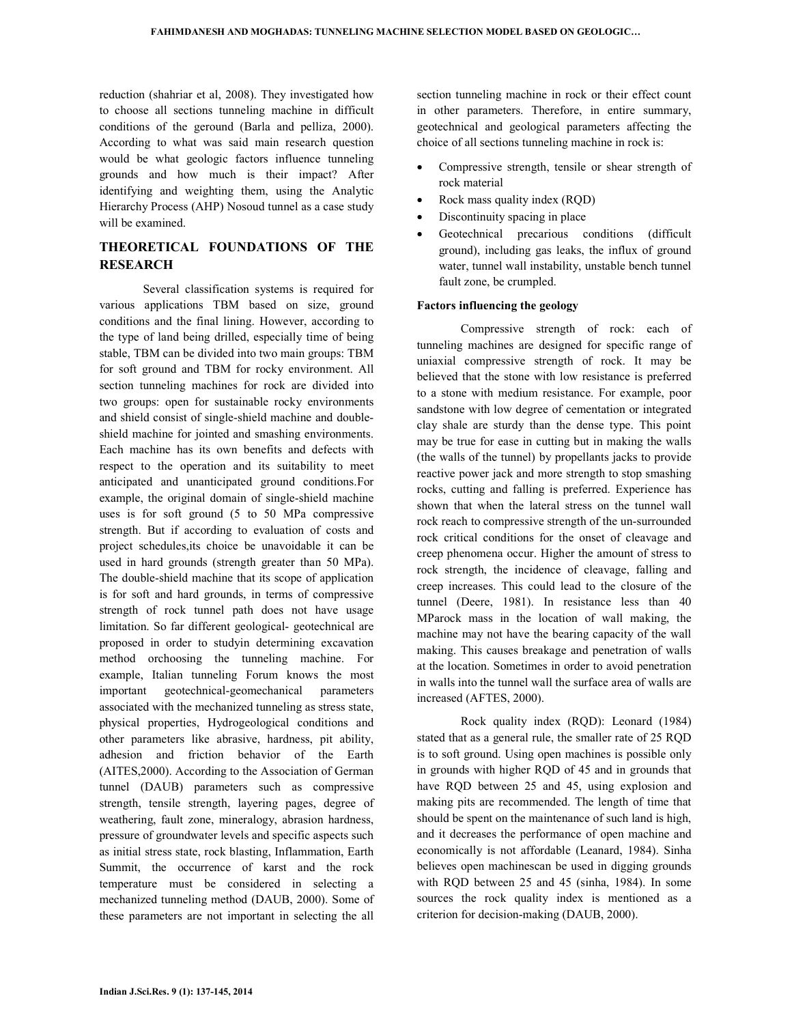reduction (shahriar et al, 2008). They investigated how to choose all sections tunneling machine in difficult conditions of the geround (Barla and pelliza, 2000). According to what was said main research question would be what geologic factors influence tunneling grounds and how much is their impact? After identifying and weighting them, using the Analytic Hierarchy Process (AHP) Nosoud tunnel as a case study will be examined.

# THEORETICAL FOUNDATIONS OF THE **RESEARCH**

 Several classification systems is required for various applications TBM based on size, ground conditions and the final lining. However, according to the type of land being drilled, especially time of being stable, TBM can be divided into two main groups: TBM for soft ground and TBM for rocky environment. All section tunneling machines for rock are divided into two groups: open for sustainable rocky environments and shield consist of single-shield machine and doubleshield machine for jointed and smashing environments. Each machine has its own benefits and defects with respect to the operation and its suitability to meet anticipated and unanticipated ground conditions.For example, the original domain of single-shield machine uses is for soft ground (5 to 50 MPa compressive strength. But if according to evaluation of costs and project schedules,its choice be unavoidable it can be used in hard grounds (strength greater than 50 MPa). The double-shield machine that its scope of application is for soft and hard grounds, in terms of compressive strength of rock tunnel path does not have usage limitation. So far different geological- geotechnical are proposed in order to studyin determining excavation method orchoosing the tunneling machine. For example, Italian tunneling Forum knows the most important geotechnical-geomechanical parameters associated with the mechanized tunneling as stress state, physical properties, Hydrogeological conditions and other parameters like abrasive, hardness, pit ability, adhesion and friction behavior of the Earth (AITES,2000). According to the Association of German tunnel (DAUB) parameters such as compressive strength, tensile strength, layering pages, degree of weathering, fault zone, mineralogy, abrasion hardness, pressure of groundwater levels and specific aspects such as initial stress state, rock blasting, Inflammation, Earth Summit, the occurrence of karst and the rock temperature must be considered in selecting a mechanized tunneling method (DAUB, 2000). Some of these parameters are not important in selecting the all

section tunneling machine in rock or their effect count in other parameters. Therefore, in entire summary, geotechnical and geological parameters affecting the choice of all sections tunneling machine in rock is:

- Compressive strength, tensile or shear strength of rock material
- Rock mass quality index (RQD)
- Discontinuity spacing in place
- Geotechnical precarious conditions (difficult ground), including gas leaks, the influx of ground water, tunnel wall instability, unstable bench tunnel fault zone, be crumpled.

# Factors influencing the geology

 Compressive strength of rock: each of tunneling machines are designed for specific range of uniaxial compressive strength of rock. It may be believed that the stone with low resistance is preferred to a stone with medium resistance. For example, poor sandstone with low degree of cementation or integrated clay shale are sturdy than the dense type. This point may be true for ease in cutting but in making the walls (the walls of the tunnel) by propellants jacks to provide reactive power jack and more strength to stop smashing rocks, cutting and falling is preferred. Experience has shown that when the lateral stress on the tunnel wall rock reach to compressive strength of the un-surrounded rock critical conditions for the onset of cleavage and creep phenomena occur. Higher the amount of stress to rock strength, the incidence of cleavage, falling and creep increases. This could lead to the closure of the tunnel (Deere, 1981). In resistance less than 40 MParock mass in the location of wall making, the machine may not have the bearing capacity of the wall making. This causes breakage and penetration of walls at the location. Sometimes in order to avoid penetration in walls into the tunnel wall the surface area of walls are increased (AFTES, 2000).

 Rock quality index (RQD): Leonard (1984) stated that as a general rule, the smaller rate of 25 RQD is to soft ground. Using open machines is possible only in grounds with higher RQD of 45 and in grounds that have RQD between 25 and 45, using explosion and making pits are recommended. The length of time that should be spent on the maintenance of such land is high, and it decreases the performance of open machine and economically is not affordable (Leanard, 1984). Sinha believes open machinescan be used in digging grounds with RQD between 25 and 45 (sinha, 1984). In some sources the rock quality index is mentioned as a criterion for decision-making (DAUB, 2000).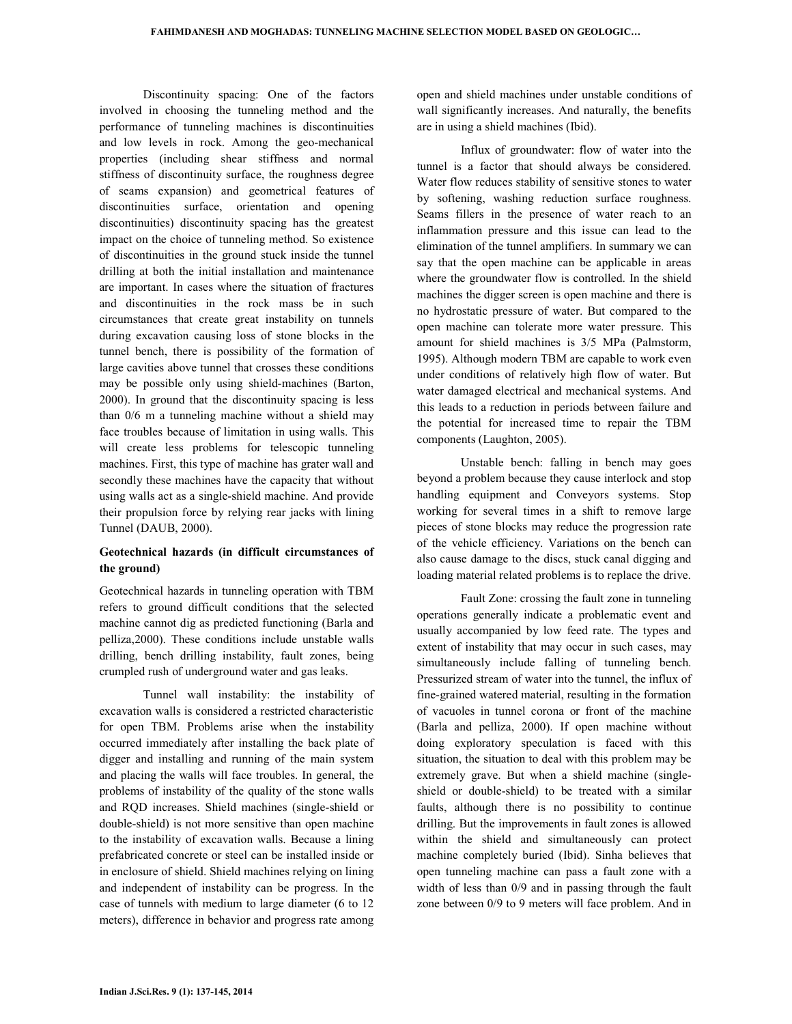Discontinuity spacing: One of the factors involved in choosing the tunneling method and the performance of tunneling machines is discontinuities and low levels in rock. Among the geo-mechanical properties (including shear stiffness and normal stiffness of discontinuity surface, the roughness degree of seams expansion) and geometrical features of discontinuities surface, orientation and opening discontinuities) discontinuity spacing has the greatest impact on the choice of tunneling method. So existence of discontinuities in the ground stuck inside the tunnel drilling at both the initial installation and maintenance are important. In cases where the situation of fractures and discontinuities in the rock mass be in such circumstances that create great instability on tunnels during excavation causing loss of stone blocks in the tunnel bench, there is possibility of the formation of large cavities above tunnel that crosses these conditions may be possible only using shield-machines (Barton, 2000). In ground that the discontinuity spacing is less than 0/6 m a tunneling machine without a shield may face troubles because of limitation in using walls. This will create less problems for telescopic tunneling machines. First, this type of machine has grater wall and secondly these machines have the capacity that without using walls act as a single-shield machine. And provide their propulsion force by relying rear jacks with lining Tunnel (DAUB, 2000).

# Geotechnical hazards (in difficult circumstances of the ground)

Geotechnical hazards in tunneling operation with TBM refers to ground difficult conditions that the selected machine cannot dig as predicted functioning (Barla and pelliza,2000). These conditions include unstable walls drilling, bench drilling instability, fault zones, being crumpled rush of underground water and gas leaks.

 Tunnel wall instability: the instability of excavation walls is considered a restricted characteristic for open TBM. Problems arise when the instability occurred immediately after installing the back plate of digger and installing and running of the main system and placing the walls will face troubles. In general, the problems of instability of the quality of the stone walls and RQD increases. Shield machines (single-shield or double-shield) is not more sensitive than open machine to the instability of excavation walls. Because a lining prefabricated concrete or steel can be installed inside or in enclosure of shield. Shield machines relying on lining and independent of instability can be progress. In the case of tunnels with medium to large diameter (6 to 12 meters), difference in behavior and progress rate among open and shield machines under unstable conditions of wall significantly increases. And naturally, the benefits are in using a shield machines (Ibid).

 Influx of groundwater: flow of water into the tunnel is a factor that should always be considered. Water flow reduces stability of sensitive stones to water by softening, washing reduction surface roughness. Seams fillers in the presence of water reach to an inflammation pressure and this issue can lead to the elimination of the tunnel amplifiers. In summary we can say that the open machine can be applicable in areas where the groundwater flow is controlled. In the shield machines the digger screen is open machine and there is no hydrostatic pressure of water. But compared to the open machine can tolerate more water pressure. This amount for shield machines is 3/5 MPa (Palmstorm, 1995). Although modern TBM are capable to work even under conditions of relatively high flow of water. But water damaged electrical and mechanical systems. And this leads to a reduction in periods between failure and the potential for increased time to repair the TBM components (Laughton, 2005).

 Unstable bench: falling in bench may goes beyond a problem because they cause interlock and stop handling equipment and Conveyors systems. Stop working for several times in a shift to remove large pieces of stone blocks may reduce the progression rate of the vehicle efficiency. Variations on the bench can also cause damage to the discs, stuck canal digging and loading material related problems is to replace the drive.

 Fault Zone: crossing the fault zone in tunneling operations generally indicate a problematic event and usually accompanied by low feed rate. The types and extent of instability that may occur in such cases, may simultaneously include falling of tunneling bench. Pressurized stream of water into the tunnel, the influx of fine-grained watered material, resulting in the formation of vacuoles in tunnel corona or front of the machine (Barla and pelliza, 2000). If open machine without doing exploratory speculation is faced with this situation, the situation to deal with this problem may be extremely grave. But when a shield machine (singleshield or double-shield) to be treated with a similar faults, although there is no possibility to continue drilling. But the improvements in fault zones is allowed within the shield and simultaneously can protect machine completely buried (Ibid). Sinha believes that open tunneling machine can pass a fault zone with a width of less than 0/9 and in passing through the fault zone between 0/9 to 9 meters will face problem. And in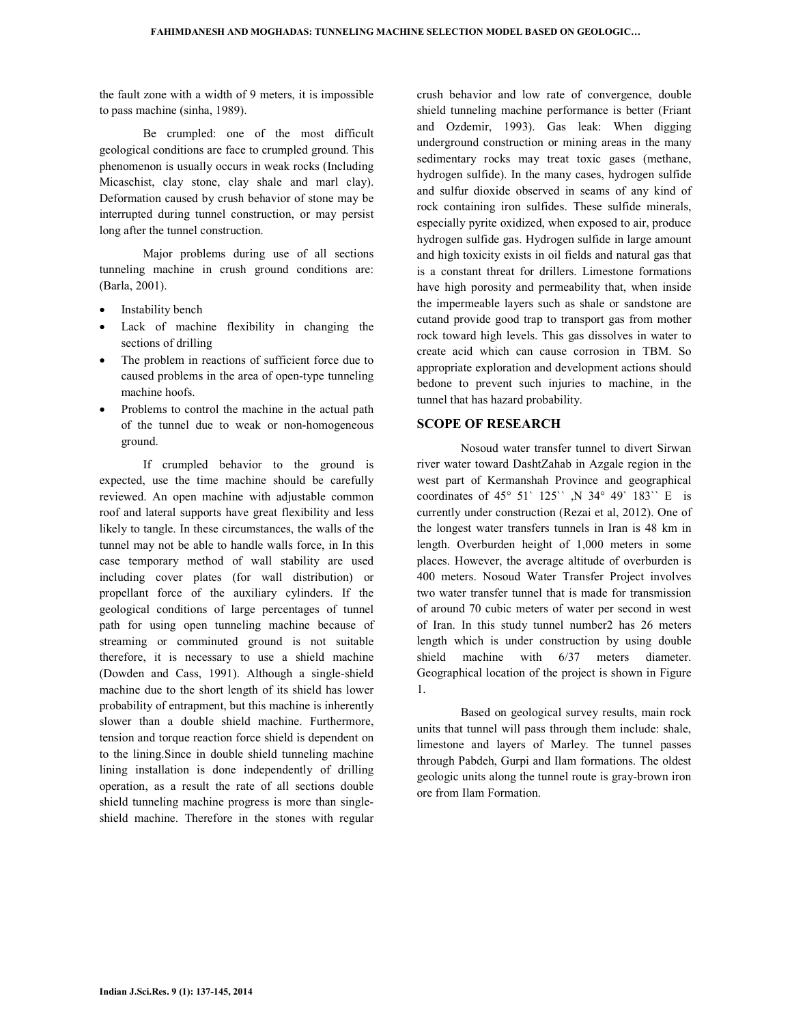the fault zone with a width of 9 meters, it is impossible to pass machine (sinha, 1989).

 Be crumpled: one of the most difficult geological conditions are face to crumpled ground. This phenomenon is usually occurs in weak rocks (Including Micaschist, clay stone, clay shale and marl clay). Deformation caused by crush behavior of stone may be interrupted during tunnel construction, or may persist long after the tunnel construction.

 Major problems during use of all sections tunneling machine in crush ground conditions are: (Barla, 2001).

- Instability bench
- Lack of machine flexibility in changing the sections of drilling
- The problem in reactions of sufficient force due to caused problems in the area of open-type tunneling machine hoofs.
- Problems to control the machine in the actual path of the tunnel due to weak or non-homogeneous ground.

 If crumpled behavior to the ground is expected, use the time machine should be carefully reviewed. An open machine with adjustable common roof and lateral supports have great flexibility and less likely to tangle. In these circumstances, the walls of the tunnel may not be able to handle walls force, in In this case temporary method of wall stability are used including cover plates (for wall distribution) or propellant force of the auxiliary cylinders. If the geological conditions of large percentages of tunnel path for using open tunneling machine because of streaming or comminuted ground is not suitable therefore, it is necessary to use a shield machine (Dowden and Cass, 1991). Although a single-shield machine due to the short length of its shield has lower probability of entrapment, but this machine is inherently slower than a double shield machine. Furthermore, tension and torque reaction force shield is dependent on to the lining.Since in double shield tunneling machine lining installation is done independently of drilling operation, as a result the rate of all sections double shield tunneling machine progress is more than singleshield machine. Therefore in the stones with regular

crush behavior and low rate of convergence, double shield tunneling machine performance is better (Friant and Ozdemir, 1993). Gas leak: When digging underground construction or mining areas in the many sedimentary rocks may treat toxic gases (methane, hydrogen sulfide). In the many cases, hydrogen sulfide and sulfur dioxide observed in seams of any kind of rock containing iron sulfides. These sulfide minerals, especially pyrite oxidized, when exposed to air, produce hydrogen sulfide gas. Hydrogen sulfide in large amount and high toxicity exists in oil fields and natural gas that is a constant threat for drillers. Limestone formations have high porosity and permeability that, when inside the impermeable layers such as shale or sandstone are cutand provide good trap to transport gas from mother rock toward high levels. This gas dissolves in water to create acid which can cause corrosion in TBM. So appropriate exploration and development actions should bedone to prevent such injuries to machine, in the tunnel that has hazard probability.

#### SCOPE OF RESEARCH

 Nosoud water transfer tunnel to divert Sirwan river water toward DashtZahab in Azgale region in the west part of Kermanshah Province and geographical coordinates of 45° 51` 125`` ,N 34° 49` 183`` E is currently under construction (Rezai et al, 2012). One of the longest water transfers tunnels in Iran is 48 km in length. Overburden height of 1,000 meters in some places. However, the average altitude of overburden is 400 meters. Nosoud Water Transfer Project involves two water transfer tunnel that is made for transmission of around 70 cubic meters of water per second in west of Iran. In this study tunnel number2 has 26 meters length which is under construction by using double shield machine with 6/37 meters diameter. Geographical location of the project is shown in Figure 1.

 Based on geological survey results, main rock units that tunnel will pass through them include: shale, limestone and layers of Marley. The tunnel passes through Pabdeh, Gurpi and Ilam formations. The oldest geologic units along the tunnel route is gray-brown iron ore from Ilam Formation.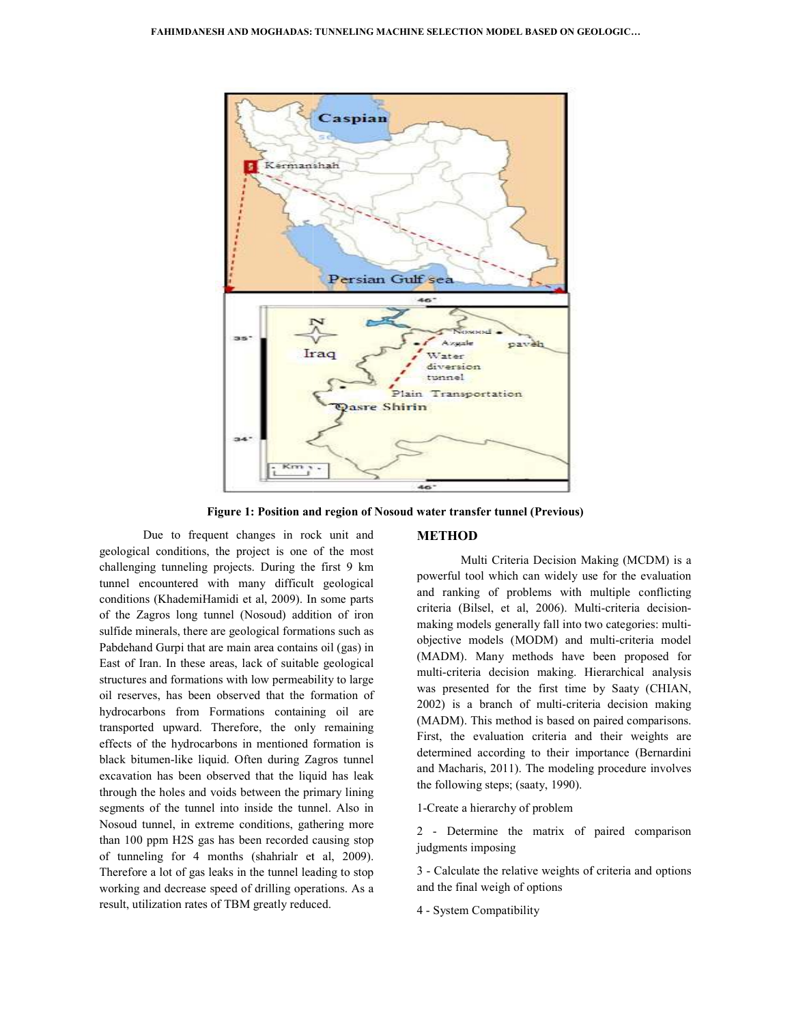

Figure 1: Position and region of Nosoud water transfer tunnel (Previous)

Due to frequent changes in rock unit and geological conditions, the project is one of the most challenging tunneling projects. During the first 9 km tunnel encountered with many difficult geological conditions (KhademiHamidi et al, 2009). In some parts of the Zagros long tunnel (Nosoud) addition of iron sulfide minerals, there are geological formations such as Pabdehand Gurpi that are main area contains oil (gas) in East of Iran. In these areas, lack of suitable geological structures and formations with low permeability to large oil reserves, has been observed that the formation of hydrocarbons from Formations containing oil are transported upward. Therefore, the only remaining effects of the hydrocarbons in mentioned formation is black bitumen-like liquid. Often during Zagros tunnel excavation has been observed that the liquid has leak through the holes and voids between the primary lining segments of the tunnel into inside the tunnel. Also in Nosoud tunnel, in extreme conditions, gathering more than 100 ppm H2S gas has been recorded causing stop of tunneling for 4 months (shahrialr et al, 2009). Therefore a lot of gas leaks in the tunnel leading to stop working and decrease speed of drilling operations. As a result, utilization rates of TBM greatly reduced. Due to frequent changes in rock unit and<br>
expological conditions, the project is one of the most<br>
challenging tunneling projects. During the first 9 km<br>
tunnel encountered with many difficult geological<br>
conditions (Khadem

Multi Criteria Decision Making (MCDM) is a powerful tool which can widely use for the evaluation and ranking of problems with multiple conflicting criteria (Bilsel, et al, 2006). Multi-criteria decisionmaking models generally fall into two categories: multiobjective models (MODM) and multi-criteria model (MADM). Many methods have been proposed for multi-criteria decision making. Hierarchical analysis was presented for the first time by Saaty (CHIAN, 2002) is a branch of multi-criteria decision making (MADM). This method is based on paired comparisons. First, the evaluation criteria and their weights are determined according to their importance (Bernardini and Macharis, 2011). The modeling procedure involves the following steps; (saaty, 1990). v use for the evaluation<br>th multiple conflicting<br>Multi-criteria decisioncriteria decision making. Hierarchica<br>oresented for the first time by Saaty<br>is a branch of multi-criteria decisio<br>DM). This method is based on paired cor<br>the evaluation criteria and their we<br>nined according to their import

1-Create a hierarchy of problem

2 - Determine the matrix of paired comparison judgments imposing

3 - Calculate the relative weights of criteria and options and the final weigh of options

4 - System Compatibility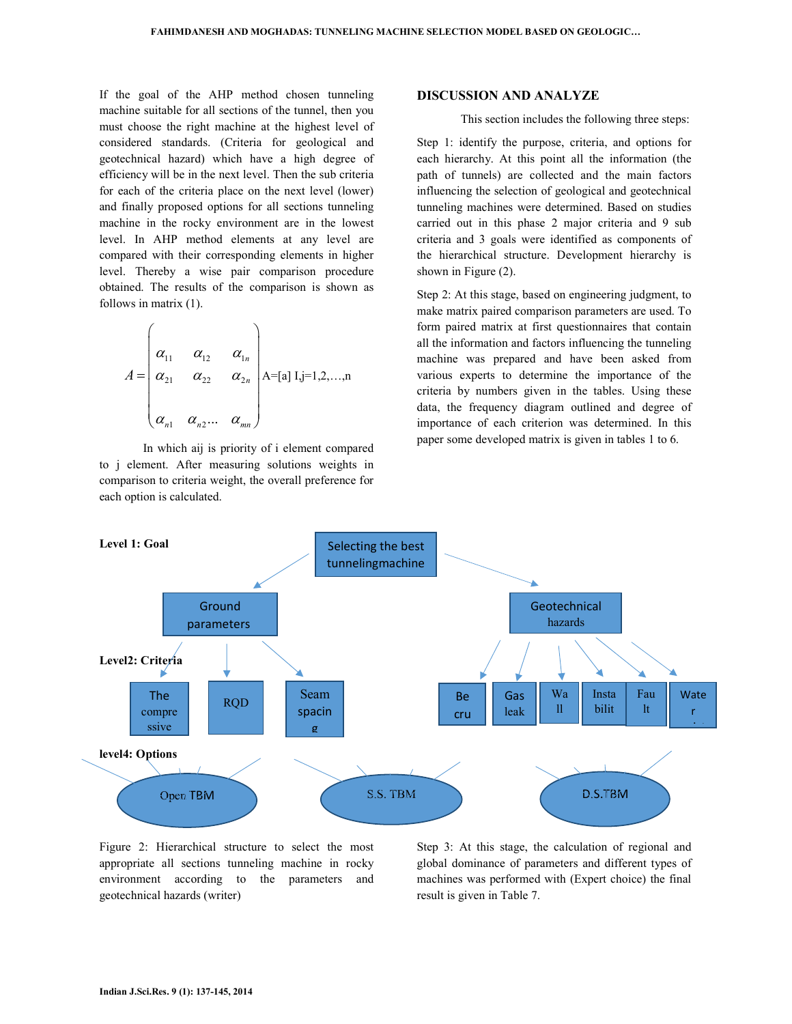If the goal of the AHP method chosen tunneling machine suitable for all sections of the tunnel, then you must choose the right machine at the highest level of considered standards. (Criteria for geological and geotechnical hazard) which have a high degree of efficiency will be in the next level. Then the sub criteria for each of the criteria place on the next level (lower) and finally proposed options for all sections tunneling machine in the rocky environment are in the lowest level. In AHP method elements at any level are compared with their corresponding elements in higher level. Thereby a wise pair comparison procedure obtained. The results of the comparison is shown as follows in matrix (1).

$$
A = \begin{pmatrix} \alpha_{11} & \alpha_{12} & \alpha_{1n} \\ \alpha_{21} & \alpha_{22} & \alpha_{2n} \\ \alpha_{n1} & \alpha_{n2} & \alpha_{nn} \end{pmatrix} A = [a] I, j = 1, 2, ..., n
$$

 In which aij is priority of i element compared to j element. After measuring solutions weights in comparison to criteria weight, the overall preference for each option is calculated.

#### DISCUSSION AND ANALYZE

This section includes the following three steps:

Step 1: identify the purpose, criteria, and options for each hierarchy. At this point all the information (the path of tunnels) are collected and the main factors influencing the selection of geological and geotechnical tunneling machines were determined. Based on studies carried out in this phase 2 major criteria and 9 sub criteria and 3 goals were identified as components of the hierarchical structure. Development hierarchy is shown in Figure (2).

Step 2: At this stage, based on engineering judgment, to make matrix paired comparison parameters are used. To form paired matrix at first questionnaires that contain all the information and factors influencing the tunneling machine was prepared and have been asked from various experts to determine the importance of the criteria by numbers given in the tables. Using these data, the frequency diagram outlined and degree of importance of each criterion was determined. In this paper some developed matrix is given in tables 1 to 6.



Figure 2: Hierarchical structure to select the most appropriate all sections tunneling machine in rocky environment according to the parameters and geotechnical hazards (writer)

Step 3: At this stage, the calculation of regional and global dominance of parameters and different types of machines was performed with (Expert choice) the final result is given in Table 7.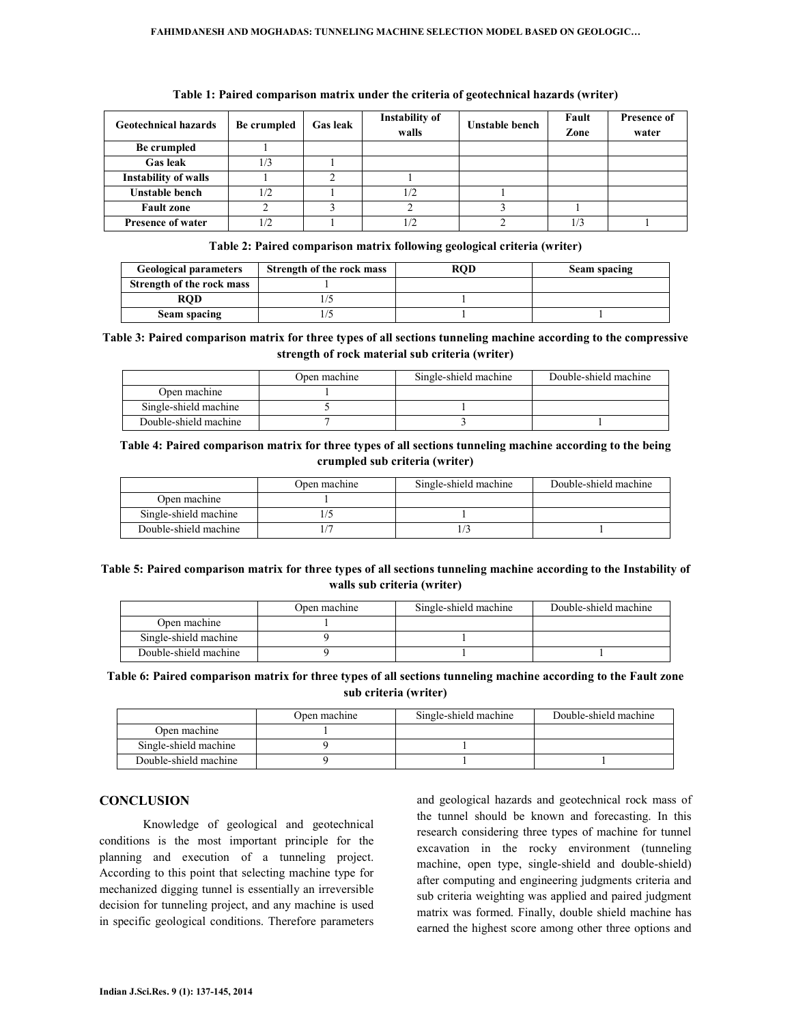| <b>Geotechnical hazards</b> | Be crumpled | <b>Gas leak</b> | Instability of<br>walls | Unstable bench | Fault<br>Zone | <b>Presence of</b><br>water |
|-----------------------------|-------------|-----------------|-------------------------|----------------|---------------|-----------------------------|
| Be crumpled                 |             |                 |                         |                |               |                             |
| <b>Gas leak</b>             | 1/3         |                 |                         |                |               |                             |
| <b>Instability of walls</b> |             |                 |                         |                |               |                             |
| Unstable bench              | 1/2         |                 | 1/2                     |                |               |                             |
| <b>Fault zone</b>           |             |                 |                         |                |               |                             |
| <b>Presence of water</b>    | 1/2         |                 |                         |                |               |                             |

#### Table 1: Paired comparison matrix under the criteria of geotechnical hazards (writer)

Table 2: Paired comparison matrix following geological criteria (writer)

| <b>Geological parameters</b> | Strength of the rock mass | ROD | Seam spacing |
|------------------------------|---------------------------|-----|--------------|
| Strength of the rock mass    |                           |     |              |
| <b>ROD</b>                   |                           |     |              |
| Seam spacing                 |                           |     |              |

# Table 3: Paired comparison matrix for three types of all sections tunneling machine according to the compressive strength of rock material sub criteria (writer)

|                       | Open machine | Single-shield machine | Double-shield machine |
|-----------------------|--------------|-----------------------|-----------------------|
| Open machine          |              |                       |                       |
| Single-shield machine |              |                       |                       |
| Double-shield machine |              |                       |                       |

# Table 4: Paired comparison matrix for three types of all sections tunneling machine according to the being crumpled sub criteria (writer)

|                       | Open machine | Single-shield machine | Double-shield machine |
|-----------------------|--------------|-----------------------|-----------------------|
| Open machine          |              |                       |                       |
| Single-shield machine |              |                       |                       |
| Double-shield machine |              |                       |                       |

# Table 5: Paired comparison matrix for three types of all sections tunneling machine according to the Instability of walls sub criteria (writer)

|                       | Open machine | Single-shield machine | Double-shield machine |
|-----------------------|--------------|-----------------------|-----------------------|
| Open machine          |              |                       |                       |
| Single-shield machine |              |                       |                       |
| Double-shield machine |              |                       |                       |

### Table 6: Paired comparison matrix for three types of all sections tunneling machine according to the Fault zone sub criteria (writer)

|                       | Open machine | Single-shield machine | Double-shield machine |
|-----------------------|--------------|-----------------------|-----------------------|
| Open machine          |              |                       |                       |
| Single-shield machine |              |                       |                       |
| Double-shield machine |              |                       |                       |

# **CONCLUSION**

 Knowledge of geological and geotechnical conditions is the most important principle for the planning and execution of a tunneling project. According to this point that selecting machine type for mechanized digging tunnel is essentially an irreversible decision for tunneling project, and any machine is used in specific geological conditions. Therefore parameters

and geological hazards and geotechnical rock mass of the tunnel should be known and forecasting. In this research considering three types of machine for tunnel excavation in the rocky environment (tunneling machine, open type, single-shield and double-shield) after computing and engineering judgments criteria and sub criteria weighting was applied and paired judgment matrix was formed. Finally, double shield machine has earned the highest score among other three options and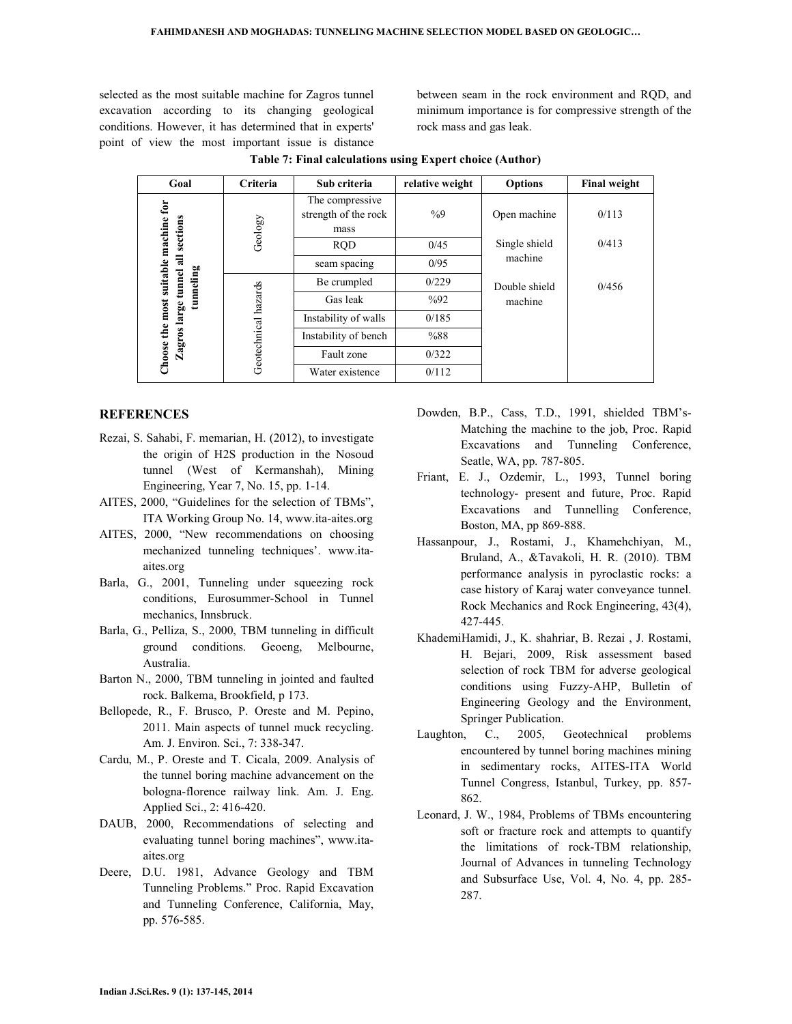selected as the most suitable machine for Zagros tunnel excavation according to its changing geological conditions. However, it has determined that in experts' point of view the most important issue is distance

between seam in the rock environment and RQD, and minimum importance is for compressive strength of the rock mass and gas leak.

| Goal                                                          | <b>Criteria</b>      | Sub criteria                                    | relative weight | <b>Options</b> | <b>Final weight</b> |
|---------------------------------------------------------------|----------------------|-------------------------------------------------|-----------------|----------------|---------------------|
|                                                               | Geology              | The compressive<br>strength of the rock<br>mass | $\frac{0}{0}$   | Open machine   | 0/113               |
| large tunnel all sections                                     |                      | <b>RQD</b>                                      | 0/45            | Single shield  | 0/413               |
|                                                               |                      | seam spacing                                    | 0/95            | machine        |                     |
|                                                               |                      | Be crumpled                                     | 0/229           | Double shield  | 0/456               |
| Choose the most suitable machine for<br>tunneling<br>Zagros l | Geotechnical hazards | Gas leak                                        | $\%92$          | machine        |                     |
|                                                               |                      | Instability of walls                            | 0/185           |                |                     |
|                                                               |                      | Instability of bench                            | %88             |                |                     |
|                                                               |                      | Fault zone                                      | 0/322           |                |                     |
|                                                               |                      | Water existence                                 | 0/112           |                |                     |

Table 7: Final calculations using Expert choice (Author)

# **REFERENCES**

- Rezai, S. Sahabi, F. memarian, H. (2012), to investigate the origin of H2S production in the Nosoud tunnel (West of Kermanshah), Mining Engineering, Year 7, No. 15, pp. 1-14.
- AITES, 2000, "Guidelines for the selection of TBMs", ITA Working Group No. 14, www.ita-aites.org
- AITES, 2000, "New recommendations on choosing mechanized tunneling techniques'. www.itaaites.org
- Barla, G., 2001, Tunneling under squeezing rock conditions, Eurosummer-School in Tunnel mechanics, Innsbruck.
- Barla, G., Pelliza, S., 2000, TBM tunneling in difficult ground conditions. Geoeng, Melbourne, Australia.
- Barton N., 2000, TBM tunneling in jointed and faulted rock. Balkema, Brookfield, p 173.
- Bellopede, R., F. Brusco, P. Oreste and M. Pepino, 2011. Main aspects of tunnel muck recycling. Am. J. Environ. Sci., 7: 338-347.
- Cardu, M., P. Oreste and T. Cicala, 2009. Analysis of the tunnel boring machine advancement on the bologna-florence railway link. Am. J. Eng. Applied Sci., 2: 416-420.
- DAUB, 2000, Recommendations of selecting and evaluating tunnel boring machines", www.itaaites.org
- Deere, D.U. 1981, Advance Geology and TBM Tunneling Problems." Proc. Rapid Excavation and Tunneling Conference, California, May, pp. 576-585.
- Dowden, B.P., Cass, T.D., 1991, shielded TBM's-Matching the machine to the job, Proc. Rapid Excavations and Tunneling Conference, Seatle, WA, pp. 787-805.
- Friant, E. J., Ozdemir, L., 1993, Tunnel boring technology- present and future, Proc. Rapid Excavations and Tunnelling Conference, Boston, MA, pp 869-888.
- Hassanpour, J., Rostami, J., Khamehchiyan, M., Bruland, A., &Tavakoli, H. R. (2010). TBM performance analysis in pyroclastic rocks: a case history of Karaj water conveyance tunnel. Rock Mechanics and Rock Engineering, 43(4), 427-445.
- KhademiHamidi, J., K. shahriar, B. Rezai , J. Rostami, H. Bejari, 2009, Risk assessment based selection of rock TBM for adverse geological conditions using Fuzzy-AHP, Bulletin of Engineering Geology and the Environment, Springer Publication.
- Laughton, C., 2005, Geotechnical problems encountered by tunnel boring machines mining in sedimentary rocks, AITES-ITA World Tunnel Congress, Istanbul, Turkey, pp. 857- 862.
- Leonard, J. W., 1984, Problems of TBMs encountering soft or fracture rock and attempts to quantify the limitations of rock-TBM relationship, Journal of Advances in tunneling Technology and Subsurface Use, Vol. 4, No. 4, pp. 285- 287.